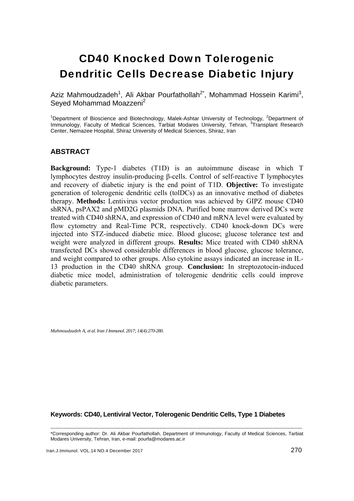# CD40 Knocked Down Tolerogenic Dendritic Cells Decrease Diabetic Injury

Aziz Mahmoudzadeh<sup>1</sup>, Ali Akbar Pourfathollah<sup>2\*</sup>, Mohammad Hossein Karimi<sup>3</sup>, Seyed Mohammad Moazzeni<sup>2</sup>

<sup>1</sup>Department of Bioscience and Biotechnology, Malek-Ashtar University of Technology, <sup>2</sup>Department of Immunology, Faculty of Medical Sciences, Tarbiat Modares University, Tehran, <sup>3</sup>Transplant Research Center, Nemazee Hospital, Shiraz University of Medical Sciences, Shiraz, Iran

# **ABSTRACT**

**Background:** Type-1 diabetes (T1D) is an autoimmune disease in which T lymphocytes destroy insulin-producing β-cells. Control of self-reactive T lymphocytes and recovery of diabetic injury is the end point of T1D. **Objective:** To investigate generation of tolerogenic dendritic cells (tolDCs) as an innovative method of diabetes therapy. **Methods:** Lentivirus vector production was achieved by GIPZ mouse CD40 shRNA, psPAX2 and pMD2G plasmids DNA. Purified bone marrow derived DCs were treated with CD40 shRNA, and expression of CD40 and mRNA level were evaluated by flow cytometry and Real-Time PCR, respectively. CD40 knock-down DCs were injected into STZ-induced diabetic mice. Blood glucose; glucose tolerance test and weight were analyzed in different groups. **Results:** Mice treated with CD40 shRNA transfected DCs showed considerable differences in blood glucose, glucose tolerance, and weight compared to other groups. Also cytokine assays indicated an increase in IL-13 production in the CD40 shRNA group. **Conclusion:** In streptozotocin-induced diabetic mice model, administration of tolerogenic dendritic cells could improve diabetic parameters.

*Mahmoudzadeh A, et al. Iran J Immunol. 2017; 14(4):270-280.* 

#### **Keywords: CD40, Lentiviral Vector, Tolerogenic Dendritic Cells, Type 1 Diabetes**

--------------------------------------------------------------------------------------------------------------------------------------------------------------- \*Corresponding author: Dr. Ali Akbar Pourfathollah, Department of Immunology, Faculty of Medical Sciences, Tarbiat Modares University, Tehran, Iran, e-mail: pourfa@modares.ac.ir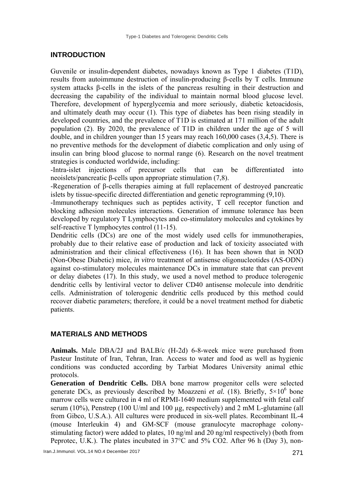# **INTRODUCTION**

Guvenile or insulin-dependent diabetes, nowadays known as Type 1 diabetes (T1D), results from autoimmune destruction of insulin-producing β-cells by T cells. Immune system attacks β-cells in the islets of the pancreas resulting in their destruction and decreasing the capability of the individual to maintain normal blood glucose level. Therefore, development of hyperglycemia and more seriously, diabetic ketoacidosis, and ultimately death may occur (1). This type of diabetes has been rising steadily in developed countries, and the prevalence of T1D is estimated at 171 million of the adult population (2). By 2020, the prevalence of T1D in children under the age of 5 will double, and in children younger than 15 years may reach 160,000 cases (3,4,5). There is no preventive methods for the development of diabetic complication and only using of insulin can bring blood glucose to normal range (6). Research on the novel treatment strategies is conducted worldwide, including:

-Intra-islet injections of precursor cells that can be differentiated into neoislets/pancreatic β-cells upon appropriate stimulation (7,8).

-Regeneration of β-cells therapies aiming at full replacement of destroyed pancreatic islets by tissue-specific directed differentiation and genetic reprogramming (9,10).

-Immunotherapy techniques such as peptides activity, T cell receptor function and blocking adhesion molecules interactions. Generation of immune tolerance has been developed by regulatory T Lymphocytes and co-stimulatory molecules and cytokines by self-reactive T lymphocytes control (11-15).

Dendritic cells (DCs) are one of the most widely used cells for immunotherapies, probably due to their relative ease of production and lack of toxicity associated with administration and their clinical effectiveness (16). It has been shown that in NOD (Non-Obese Diabetic) mice, *in vitro* treatment of antisense oligonucleotides (AS-ODN) against co-stimulatory molecules maintenance DCs in immature state that can prevent or delay diabetes (17). In this study, we used a novel method to produce tolerogenic dendritic cells by lentiviral vector to deliver CD40 antisense molecule into dendritic cells. Administration of tolerogenic dendritic cells produced by this method could recover diabetic parameters; therefore, it could be a novel treatment method for diabetic patients.

# **MATERIALS AND METHODS**

**Animals.** Male DBA/2J and BALB/c (H-2d) 6-8-week mice were purchased from Pasteur Institute of Iran, Tehran, Iran. Access to water and food as well as hygienic conditions was conducted according by Tarbiat Modares University animal ethic protocols.

**Generation of Dendritic Cells.** DBA bone marrow progenitor cells were selected generate DCs, as previously described by Moazzeni *et al.* (18). Briefly,  $5 \times 10^6$  bone marrow cells were cultured in 4 ml of RPMI-1640 medium supplemented with fetal calf serum (10%), Penstrep (100 U/ml and 100 µg, respectively) and 2 mM L-glutamine (all from Gibco, U.S.A.). All cultures were produced in six-well plates. Recombinant IL-4 (mouse Interleukin 4) and GM-SCF (mouse granulocyte macrophage colonystimulating factor) were added to plates, 10 ng/ml and 20 ng/ml respectively) (both from Peprotec, U.K.). The plates incubated in 37°C and 5% CO2. After 96 h (Day 3), non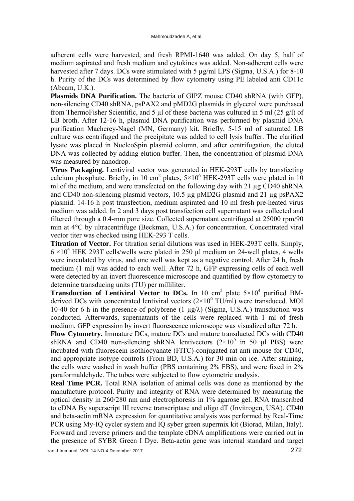adherent cells were harvested, and fresh RPMI-1640 was added. On day 5, half of medium aspirated and fresh medium and cytokines was added. Non-adherent cells were harvested after 7 days. DCs were stimulated with 5  $\mu$ g/ml LPS (Sigma, U.S.A.) for 8-10 h. Purity of the DCs was determined by flow cytometry using PE labeled anti CD11c (Abcam, U.K.).

**Plasmids DNA Purification.** The bacteria of GIPZ mouse CD40 shRNA (with GFP), non-silencing CD40 shRNA, psPAX2 and pMD2G plasmids in glycerol were purchased from ThermoFisher Scientific, and 5 µl of these bacteria was cultured in 5 ml (25 g/l) of LB broth. After 12-16 h, plasmid DNA purification was performed by plasmid DNA purification Macherey-Nagel (MN, Germany) kit. Briefly, 5-15 ml of saturated LB culture was centrifuged and the precipitate was added to cell lysis buffer. The clarified lysate was placed in NucleoSpin plasmid column, and after centrifugation, the eluted DNA was collected by adding elution buffer. Then, the concentration of plasmid DNA was measured by nanodrop.

**Virus Packaging.** Lentiviral vector was generated in HEK-293T cells by transfecting calcium phosphate. Briefly, in 10 cm<sup>2</sup> plates,  $5 \times 10^6$  HEK-293T cells were plated in 10 ml of the medium, and were transfected on the following day with 21 µg CD40 shRNA and CD40 non-silencing plasmid vectors, 10.5 µg pMD2G plasmid and 21 µg psPAX2 plasmid. 14-16 h post transfection, medium aspirated and 10 ml fresh pre-heated virus medium was added. In 2 and 3 days post transfection cell supernatant was collected and filtered through a 0.4-mm pore size. Collected supernatant centrifuged at 25000 rpm/90 min at 4°C by ultracentrifuge (Beckman, U.S.A.) for concentration. Concentrated viral vector titer was checked using HEK-293 T cells.

**Titration of Vector.** For titration serial dilutions was used in HEK-293T cells. Simply,  $6 \times 10^4$  HEK 293T cells/wells were plated in 250 µl medium on 24-well plates, 4 wells were inoculated by virus, and one well was kept as a negative control. After 24 h, fresh medium (1 ml) was added to each well. After 72 h, GFP expressing cells of each well were detected by an invert fluorescence microscope and quantified by flow cytometry to determine transducing units (TU) per milliliter.

**Transduction of Lentiviral Vector to DCs.** In 10 cm<sup>2</sup> plate  $5\times10^4$  purified BMderived DCs with concentrated lentiviral vectors  $(2\times10^6 \text{ TU/ml})$  were transduced. MOI 10-40 for 6 h in the presence of polybrene  $(1 \mu g/\lambda)$  (Sigma, U.S.A.) transduction was conducted. Afterwards, supernatants of the cells were replaced with 1 ml of fresh medium. GFP expression by invert fluorescence microscope was visualized after 72 h.

**Flow Cytometry.** Immature DCs, mature DCs and mature transducted DCs with CD40 shRNA and CD40 non-silencing shRNA lentivectors  $(2\times10^5$  in 50 µl PBS) were incubated with fluorescein isothiocyanate (FITC)-conjugated rat anti mouse for CD40, and appropriate isotype controls (From BD, U.S.A.) for 30 min on ice. After staining, the cells were washed in wash buffer (PBS containing 2% FBS), and were fixed in 2% paraformaldehyde. The tubes were subjected to flow cytometric analysis.

**Real Time PCR.** Total RNA isolation of animal cells was done as mentioned by the manufacture protocol. Purity and integrity of RNA were determined by measuring the optical density in 260/280 nm and electrophoresis in 1% agarose gel. RNA transcribed to cDNA By superscript III reverse transcriptase and oligo dT (Invitrogen, USA). CD40 and beta-actin mRNA expression for quantitative analysis was performed by Real-Time PCR using My-IQ cycler system and IQ syber green supermix kit (Biorad, Milan, Italy). Forward and reverse primers and the template cDNA amplifications were carried out in the presence of SYBR Green I Dye. Beta-actin gene was internal standard and target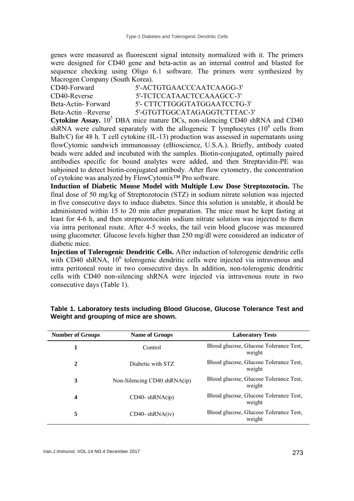genes were measured as fluorescent signal intensity normalized with it. The primers were designed for CD40 gene and beta-actin as an internal control and blasted for sequence checking using Oligo 6.1 software. The primers were synthesized by Macrogen Company (South Korea).

| CD40-Forward        | 5'-ACTGTGAACCCAATCAAGG-3'    |
|---------------------|------------------------------|
| CD40-Reverse        | 5'-TCTCCATAACTCCAAAGCC-3'    |
| Beta-Actin-Forward  | 5'- CTTCTTGGGTATGGAATCCTG-3' |
| Beta-Actin –Reverse | 5'-GTGTTGGCATAGAGGTCTTTAC-3' |

**Cytokine Assay.**  $10^5$  DBA mice mature DCs, non-silencing CD40 shRNA and CD40 shRNA were cultured separately with the allogeneic T lymphocytes  $(10^6 \text{ cells from}$ Balb/C) for 48 h. T cell cytokine (IL-13) production was assessed in supernatants using flowCytomic sandwich immunoassay (eBioscience, U.S.A.). Briefly, antibody coated beads were added and incubated with the samples. Biotin-conjugated, optimally paired antibodies specific for bound analytes were added, and then Streptavidin-PE was subjoined to detect biotin-conjugated antibody. After flow cytometry, the concentration of cytokine was analyzed by FlowCytomix™ Pro software.

**Induction of Diabetic Mouse Model with Multiple Low Dose Streptozotocin.** The final dose of 50 mg/kg of Streptozotocin (STZ) in sodium nitrate solution was injected in five consecutive days to induce diabetes. Since this solution is unstable, it should be administered within 15 to 20 min after preparation. The mice must be kept fasting at least for 4-6 h, and then streptozotocinin sodium nitrate solution was injected to them via intra peritoneal route. After 4-5 weeks, the tail vein blood glucose was measured using glucometer. Glucose levels higher than 250 mg/dl were considered an indicator of diabetic mice.

**Injection of Tolerogenic Dendritic Cells.** After induction of tolerogenic dendritic cells with CD40 shRNA, 10<sup>6</sup> tolerogenic dendritic cells were injected via intravenous and intra peritoneal route in two consecutive days. In addition, non-tolerogenic dendritic cells with CD40 non-silencing shRNA were injected via intravenous route in two consecutive days (Table 1).

| <b>Number of Groups</b> | <b>Name of Groups</b>        | <b>Laboratory Tests</b>                          |
|-------------------------|------------------------------|--------------------------------------------------|
|                         | Control                      | Blood glucose, Glucose Tolerance Test,<br>weight |
| 2                       | Diabetic with STZ            | Blood glucose, Glucose Tolerance Test,<br>weight |
| 3                       | Non-Silencing CD40 shRNA(ip) | Blood glucose, Glucose Tolerance Test,<br>weight |
| 4                       | $CD40$ - shRNA(ip)           | Blood glucose, Glucose Tolerance Test,<br>weight |
| 5                       | $CD40 - shRNA(iv)$           | Blood glucose, Glucose Tolerance Test,<br>weight |

**Table 1. Laboratory tests including Blood Glucose, Glucose Tolerance Test and Weight and grouping of mice are shown.**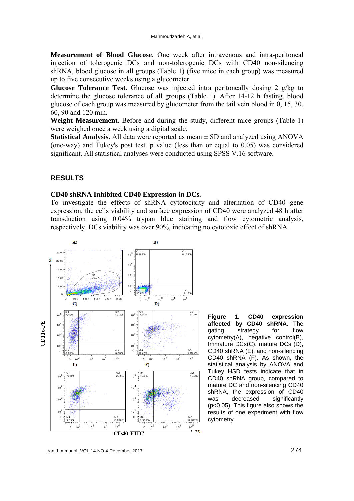**Measurement of Blood Glucose.** One week after intravenous and intra-peritoneal injection of tolerogenic DCs and non-tolerogenic DCs with CD40 non-silencing shRNA, blood glucose in all groups (Table 1) (five mice in each group) was measured up to five consecutive weeks using a glucometer.

**Glucose Tolerance Test.** Glucose was injected intra peritoneally dosing 2 g/kg to determine the glucose tolerance of all groups (Table 1). After 14-12 h fasting, blood glucose of each group was measured by glucometer from the tail vein blood in 0, 15, 30, 60, 90 and 120 min.

**Weight Measurement.** Before and during the study, different mice groups (Table 1) were weighed once a week using a digital scale.

**Statistical Analysis.** All data were reported as mean ± SD and analyzed using ANOVA (one-way) and Tukey's post test. p value (less than or equal to 0.05) was considered significant. All statistical analyses were conducted using SPSS V.16 software.

## **RESULTS**

## **CD40 shRNA Inhibited CD40 Expression in DCs.**

To investigate the effects of shRNA cytotocixity and alternation of CD40 gene expression, the cells viability and surface expression of CD40 were analyzed 48 h after transduction using 0.04% trypan blue staining and flow cytometric analysis, respectively. DCs viability was over 90%, indicating no cytotoxic effect of shRNA.



**Figure 1. CD40 expression affected by CD40 shRNA.** The gating strategy for flow cytometry(A), negative control(B), Immature DCs(C), mature DCs (D), CD40 shRNA (E), and non-silencing CD40 shRNA (F). As shown, the statistical analysis by ANOVA and Tukey HSD tests indicate that in CD40 shRNA group, compared to mature DC and non-silencing CD40 shRNA, the expression of CD40 was decreased significantly (p<0.05). This figure also shows the results of one experiment with flow cytometry.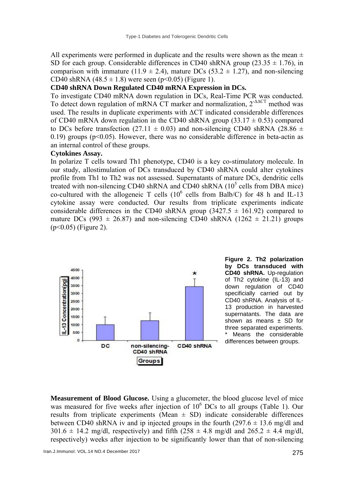All experiments were performed in duplicate and the results were shown as the mean  $\pm$ SD for each group. Considerable differences in CD40 shRNA group (23.35  $\pm$  1.76), in comparison with immature (11.9  $\pm$  2.4), mature DCs (53.2  $\pm$  1.27), and non-silencing CD40 shRNA  $(48.5 \pm 1.8)$  were seen  $(p<0.05)$  (Figure 1).

## **CD40 shRNA Down Regulated CD40 mRNA Expression in DCs.**

To investigate CD40 mRNA down regulation in DCs, Real-Time PCR was conducted. To detect down regulation of mRNA CT marker and normalization, 2-ΔΔCT method was used. The results in duplicate experiments with  $\Delta CT$  indicated considerable differences of CD40 mRNA down regulation in the CD40 shRNA group  $(33.17 \pm 0.53)$  compared to DCs before transfection (27.11  $\pm$  0.03) and non-silencing CD40 shRNA (28.86  $\pm$ 0.19) groups ( $p<0.05$ ). However, there was no considerable difference in beta-actin as an internal control of these groups.

#### **Cytokines Assay.**

In polarize T cells toward Th1 phenotype, CD40 is a key co-stimulatory molecule. In our study, allostimulation of DCs transduced by CD40 shRNA could alter cytokines profile from Th1 to Th2 was not assessed. Supernatants of mature DCs, dendritic cells treated with non-silencing CD40 shRNA and CD40 shRNA  $(10^5 \text{ cells from DBA mice})$ co-cultured with the allogeneic T cells  $(10^6 \text{ cells from Balb/C})$  for 48 h and IL-13 cytokine assay were conducted. Our results from triplicate experiments indicate considerable differences in the CD40 shRNA group  $(3427.5 \pm 161.92)$  compared to mature DCs (993  $\pm$  26.87) and non-silencing CD40 shRNA (1262  $\pm$  21.21) groups (p<0.05) (Figure 2).



**Figure 2. Th2 polarization by DCs transduced with CD40 shRNA.** Up-regulation of Th2 cytokine (IL-13) and down regulation of CD40 specificially carried out by CD40 shRNA. Analysis of IL-13 production in harvested supernatants. The data are shown as means  $\pm$  SD for three separated experiments. Means the considerable differences between groups.

**Measurement of Blood Glucose.** Using a glucometer, the blood glucose level of mice was measured for five weeks after injection of  $10^6$  DCs to all groups (Table 1). Our results from triplicate experiments (Mean  $\pm$  SD) indicate considerable differences between CD40 shRNA iv and ip injected groups in the fourth  $(297.6 \pm 13.6 \text{ mg/dl}$  and  $301.6 \pm 14.2$  mg/dl, respectively) and fifth  $(258 \pm 4.8 \text{ mg/dl}$  and  $265.2 \pm 4.4 \text{ mg/dl}$ , respectively) weeks after injection to be significantly lower than that of non-silencing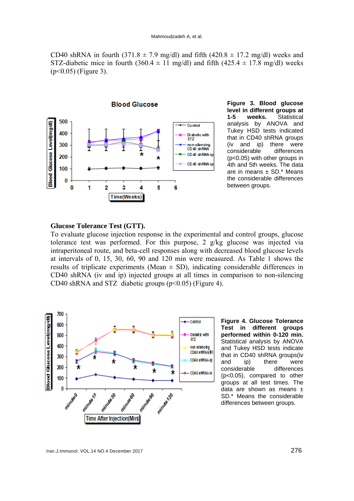CD40 shRNA in fourth  $(371.8 \pm 7.9 \text{ mg/dl})$  and fifth  $(420.8 \pm 17.2 \text{ mg/dl})$  weeks and STZ-diabetic mice in fourth (360.4  $\pm$  11 mg/dl) and fifth (425.4  $\pm$  17.8 mg/dl) weeks  $(p<0.05)$  (Figure 3).



**Figure 3. Blood glu ucose**  level in different groups at **1-5 wee eks.** Stat analysis b by ANOVA and Tukey HS D tests ind icated that in CD40 shRNA groups (iv and ip) there were considerab (p<0.05) w ith other gro ups in 4th and 5th weeks. The data are in means  $\pm$  SD.\* Means the considerable differences between groups. ble differ ences Statistical

#### Glucose Tolerance Test (GTT).

To evaluate glucose injection response in the experimental and control groups, glucose tolerance test was performed. For this purpose, 2 g/kg glucose was injected via intraperitoneal route, and beta-cell responses along with decreased blood glucose levels at intervals of 0, 15, 30, 60, 90 and 120 min were measured. As Table 1 shows the results of triplicate experiments (Mean  $\pm$  SD), indicating considerable differences in CD40 shRNA (iv and ip) injected groups at all times in comparison to non-silencing CD40 shRNA and STZ diabetic groups  $(p<0.05)$  (Figure 4).



**Figure 4. Glucose Tolerance Test in different groups p performed w within 0-120 0 min.** Statistical analysis by ANOVA a and Tukey H HSD tests in dicate th hat in CD40 shRNA gro ups(iv a and ip) c considerable (p p<0.05), co mpared to other g groups at al l test times s. The data are shown as means  $\pm$ SD.\* Means the considerable differences between groups. there differ ences were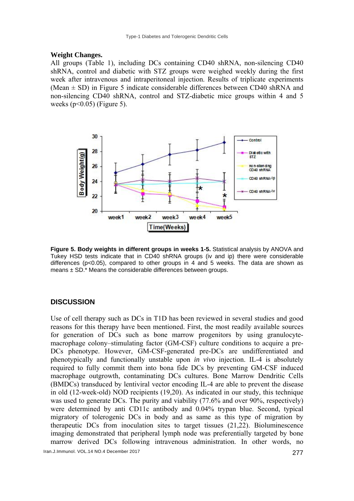#### **Weight Changes.**

All groups (Table 1), including DCs containing CD40 shRNA, non-silencing CD40 shRNA, control and diabetic with STZ groups were weighed weekly during the first week after intravenous and intraperitoneal injection. Results of triplicate experiments (Mean  $\pm$  SD) in Figure 5 indicate considerable differences between CD40 shRNA and non-silencing CD40 shRNA, control and STZ-diabetic mice groups within 4 and 5 weeks ( $p<0.05$ ) (Figure 5).



**Figure 5. Body weights in different groups in weeks 1-5.** Statistical analysis by ANOVA and Tukey HSD tests indicate that in CD40 shRNA groups (iv and ip) there were considerable differences (p<0.05), compared to other groups in 4 and 5 weeks. The data are shown as means  $\pm$  SD<sup> $\cdot$ \*</sup> Means the considerable differences between groups.

#### **DISCUSSION**

Use of cell therapy such as DCs in T1D has been reviewed in several studies and good reasons for this therapy have been mentioned. First, the most readily available sources for generation of DCs such as bone marrow progenitors by using granulocytemacrophage colony–stimulating factor (GM-CSF) culture conditions to acquire a pre-DCs phenotype. However, GM-CSF-generated pre-DCs are undifferentiated and phenotypically and functionally unstable upon *in vivo* injection. IL-4 is absolutely required to fully commit them into bona fide DCs by preventing GM-CSF induced macrophage outgrowth, contaminating DCs cultures. Bone Marrow Dendritic Cells (BMDCs) transduced by lentiviral vector encoding IL-4 are able to prevent the disease in old (12-week-old) NOD recipients (19,20). As indicated in our study, this technique was used to generate DCs. The purity and viability (77.6% and over 90%, respectively) were determined by anti CD11c antibody and 0.04% trypan blue. Second, typical migratory of tolerogenic DCs in body and as same as this type of migration by therapeutic DCs from inoculation sites to target tissues (21,22). Bioluminescence imaging demonstrated that peripheral lymph node was preferentially targeted by bone marrow derived DCs following intravenous administration. In other words, no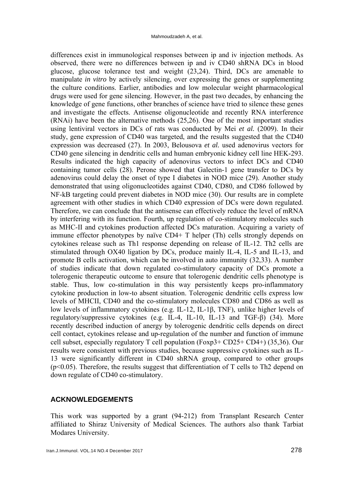differences exist in immunological responses between ip and iv injection methods. As observed, there were no differences between ip and iv CD40 shRNA DCs in blood glucose, glucose tolerance test and weight (23,24). Third, DCs are amenable to manipulate *in vitro* by actively silencing, over expressing the genes or supplementing the culture conditions. Earlier, antibodies and low molecular weight pharmacological drugs were used for gene silencing. However, in the past two decades, by enhancing the knowledge of gene functions, other branches of science have tried to silence these genes and investigate the effects. Antisense oligonucleotide and recently RNA interference (RNAi) have been the alternative methods (25,26). One of the most important studies using lentiviral vectors in DCs of rats was conducted by Mei *et al.* (2009). In their study, gene expression of CD40 was targeted, and the results suggested that the CD40 expression was decreased (27). In 2003, Belousova *et al.* used adenovirus vectors for CD40 gene silencing in dendritic cells and human embryonic kidney cell line HEK-293. Results indicated the high capacity of adenovirus vectors to infect DCs and CD40 containing tumor cells (28). Perone showed that Galectin-1 gene transfer to DCs by adenovirus could delay the onset of type I diabetes in NOD mice (29). Another study demonstrated that using oligonucleotides against CD40, CD80, and CD86 followed by NF-kB targeting could prevent diabetes in NOD mice (30). Our results are in complete agreement with other studies in which CD40 expression of DCs were down regulated. Therefore, we can conclude that the antisense can effectively reduce the level of mRNA by interfering with its function. Fourth, up regulation of co-stimulatory molecules such as MHC-II and cytokines production affected DCs maturation. Acquiring a variety of immune effector phenotypes by naïve CD4+ T helper (Th) cells strongly depends on cytokines release such as Th1 response depending on release of IL-12. Th2 cells are stimulated through OX40 ligation by DCs, produce mainly IL-4, IL-5 and IL-13, and promote B cells activation, which can be involved in auto immunity (32,33). A number of studies indicate that down regulated co-stimulatory capacity of DCs promote a tolerogenic therapeutic outcome to ensure that tolerogenic dendritic cells phenotype is stable. Thus, low co-stimulation in this way persistently keeps pro-inflammatory cytokine production in low-to absent situation. Tolerogenic dendritic cells express low levels of MHCII, CD40 and the co-stimulatory molecules CD80 and CD86 as well as low levels of inflammatory cytokines (e.g. IL-12, IL-1β, TNF), unlike higher levels of regulatory/suppressive cytokines (e.g. IL-4, IL-10, IL-13 and TGF-β) (34). More recently described induction of anergy by tolerogenic dendritic cells depends on direct cell contact, cytokines release and up-regulation of the number and function of immune cell subset, especially regulatory T cell population (Foxp3+ CD25+ CD4+) (35,36). Our results were consistent with previous studies, because suppressive cytokines such as IL-13 were significantly different in CD40 shRNA group, compared to other groups  $(p<0.05)$ . Therefore, the results suggest that differentiation of T cells to Th2 depend on down regulate of CD40 co-stimulatory.

#### **ACKNOWLEDGEMENTS**

This work was supported by a grant (94-212) from Transplant Research Center affiliated to Shiraz University of Medical Sciences. The authors also thank Tarbiat Modares University.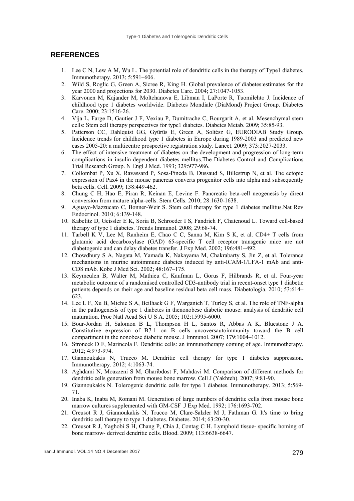#### **REFERENCES**

- 1. Lee C N, Lew A M, Wu L. The potential role of dendritic cells in the therapy of Type1 diabetes. Immunotherapy. 2013; 5:591–606.
- 2. Wild S, Roglic G, Green A, Sicree R, King H. Global prevalence of diabetes:estimates for the year 2000 and projections for 2030. Diabetes Care. 2004; 27:1047-1053.
- 3. Karvonen M, Kajander M, Moltchanova E, Libman I, LaPorte R, Tuomilehto J. Incidence of childhood type 1 diabetes worldwide. Diabetes Mondiale (DiaMond) Project Group. Diabetes Care. 2000; 23:1516-26.
- 4. Vija L, Farge D, Gautier J F, Vexiau P, Dumitrache C, Bourgarit A, et al. Mesenchymal stem cells: Stem cell therapy perspectives for type1 diabetes. Diabetes Metab. 2009; 35:85-93.
- 5. Patterson CC, Dahlquist GG, Gyürüs E, Green A, Soltész G, EURODIAB Study Group. Incidence trends for childhood type 1 diabetes in Europe during 1989-2003 and predicted new cases 2005-20: a multicentre prospective registration study. Lancet. 2009; 373:2027-2033.
- 6. The effect of intensive treatment of diabetes on the development and progression of long-term complications in insulin-dependent diabetes mellitus.The Diabetes Control and Complications Trial Research Group. N Engl J Med. 1993; 329:977-986.
- 7. Collombat P, Xu X, Ravassard P, Sosa-Pineda B, Dussaud S, Billestrup N, et al. The ectopic expression of Pax4 in the mouse pancreas converts progenitor cells into alpha and subsequently beta cells. Cell. 2009; 138:449-462.
- 8. Chung C H, Hao E, Piran R, Keinan E, Levine F. Pancreatic beta-cell neogenesis by direct conversion from mature alpha-cells. Stem Cells. 2010; 28:1630-1638.
- 9. Aguayo-Mazzucato C, Bonner-Weir S. Stem cell therapy for type 1 diabetes mellitus.Nat Rev Endocrinol. 2010; 6:139-148.
- 10. Kabelitz D, Geissler E K, Soria B, Schroeder I S, Fandrich F, Chatenoud L. Toward cell-based therapy of type 1 diabetes. Trends Immunol. 2008; 29:68-74.
- 11. Tarbell K V, Lee M, Ranheim E, Chao C C, Sanna M, Kim S K, et al. CD4+ T cells from glutamic acid decarboxylase (GAD) 65-specific T cell receptor transgenic mice are not diabetogenic and can delay diabetes transfer. J Exp Med. 2002; 196:481–492.
- 12. Chowdhury S A, Nagata M, Yamada K, Nakayama M, Chakrabarty S, Jin Z, et al. Tolerance mechanisms in murine autoimmune diabetes induced by anti-ICAM-1/LFA-1 mAb and anti-CD8 mAb. Kobe J Med Sci. 2002; 48:167–175.
- 13. Keymeulen B, Walter M, Mathieu C, Kaufman L, Gorus F, Hilbrands R, et al. Four-year metabolic outcome of a randomised controlled CD3-antibody trial in recent-onset type 1 diabetic patients depends on their age and baseline residual beta cell mass. Diabetologia. 2010; 53:614– 623.
- 14. Lee L F, Xu B, Michie S A, Beilhack G F, Warganich T, Turley S, et al. The role of TNF-alpha in the pathogenesis of type 1 diabetes in thenonobese diabetic mouse: analysis of dendritic cell maturation. Proc Natl Acad Sci U S A. 2005; 102:15995-6000.
- 15. Bour-Jordan H, Salomon B L, Thompson H L, Santos R, Abbas A K, Bluestone J A. Constitutive expression of B7-1 on B cells uncoversautoimmunity toward the B cell compartment in the nonobese diabetic mouse. J Immunol. 2007; 179:1004–1012.
- 16. Stroncek D F, Marincola F. Dendritic cells: an immunotherapy coming of age. Immunotherapy. 2012; 4:973-974.
- 17. Giannoukakis N, Trucco M. Dendritic cell therapy for type 1 diabetes suppression. Immunotherapy. 2012; 4:1063-74.
- 18. Aghdami N, Moazzeni S M, Gharibdost F, Mahdavi M. Comparison of different methods for dendritic cells generation from mouse bone marrow. Cell J (Yakhteh). 2007; 9:81-90.
- 19. Giannoukakis N. Tolerogenic dendritic cells for type 1 diabetes. Immunotherapy. 2013; 5:569- 71.
- 20. Inaba K, Inaba M, Romani M. Generation of large numbers of dendritic cells from mouse bone marrow cultures supplemented with GM-CSF .J Exp Med. 1992; 176:1693-702.
- 21. Creusot R J, Giannoukakis N, Trucco M, Clare-Salzler M J, Fathman G. It's time to bring dendritic cell therapy to type 1 diabetes. Diabetes. 2014; 63:20-30.
- 22. Creusot R J, Yaghobi S H, Chang P, Chia J, Contag C H. Lymphoid tissue- specific homing of bone marrow- derived dendritic cells. Blood. 2009; 113:6638-6647.